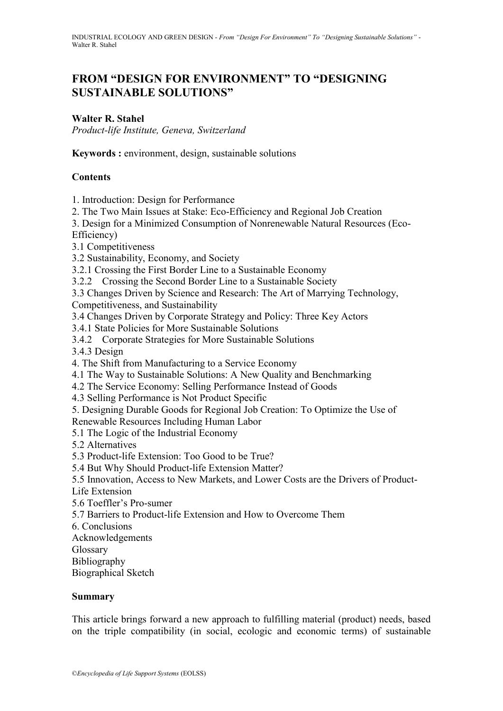# **FROM "DESIGN FOR ENVIRONMENT" TO "DESIGNING SUSTAINABLE SOLUTIONS"**

### **Walter R. Stahel**

*Product-life Institute, Geneva, Switzerland*

**Keywords :** environment, design, sustainable solutions

### **Contents**

1. Introduction: Design for Performance

2. The Two Main Issues at Stake: Eco-Efficiency and Regional Job Creation

3. Design for a Minimized Consumption of Nonrenewable Natural Resources (Eco-

Efficiency)

3.1 Competitiveness

3.2 Sustainability, Economy, and Society

3.2.1 Crossing the First Border Line to a Sustainable Economy

3.2.2 Crossing the Second Border Line to a Sustainable Society

3.3 Changes Driven by Science and Research: The Art of Marrying Technology, Competitiveness, and Sustainability

3.4 Changes Driven by Corporate Strategy and Policy: Three Key Actors

3.4.1 State Policies for More Sustainable Solutions

3.4.2 Corporate Strategies for More Sustainable Solutions

3.4.3 Design

4. The Shift from Manufacturing to a Service Economy

4.1 The Way to Sustainable Solutions: A New Quality and Benchmarking

4.2 The Service Economy: Selling Performance Instead of Goods

4.3 Selling Performance is Not Product Specific

5. Designing Durable Goods for Regional Job Creation: To Optimize the Use of

Renewable Resources Including Human Labor

5.1 The Logic of the Industrial Economy

5.2 Alternatives

5.3 Product-life Extension: Too Good to be True?

5.4 But Why Should Product-life Extension Matter?

5.5 Innovation, Access to New Markets, and Lower Costs are the Drivers of Product-

Life Extension

5.6 Toeffler's Pro-sumer

5.7 Barriers to Product-life Extension and How to Overcome Them

6. Conclusions

Acknowledgements

Glossary

Bibliography

Biographical Sketch

#### **Summary**

This article brings forward a new approach to fulfilling material (product) needs, based on the triple compatibility (in social, ecologic and economic terms) of sustainable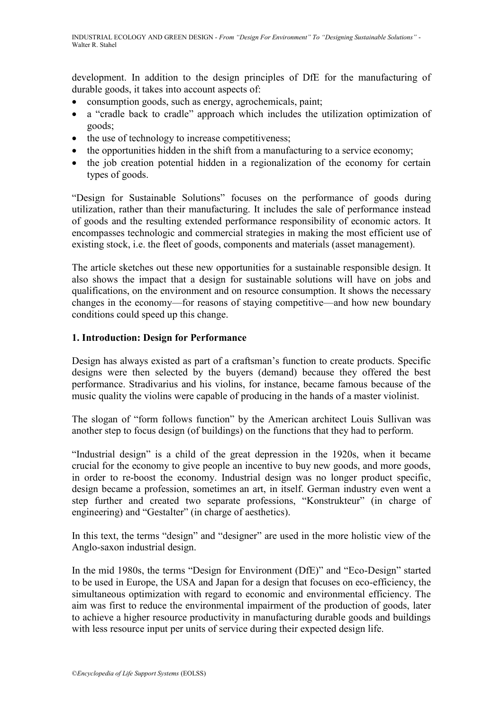development. In addition to the design principles of DfE for the manufacturing of durable goods, it takes into account aspects of:

- consumption goods, such as energy, agrochemicals, paint;
- a "cradle back to cradle" approach which includes the utilization optimization of goods;
- the use of technology to increase competitiveness;
- the opportunities hidden in the shift from a manufacturing to a service economy;
- the job creation potential hidden in a regionalization of the economy for certain types of goods.

―Design for Sustainable Solutions‖ focuses on the performance of goods during utilization, rather than their manufacturing. It includes the sale of performance instead of goods and the resulting extended performance responsibility of economic actors. It encompasses technologic and commercial strategies in making the most efficient use of existing stock, i.e. the fleet of goods, components and materials (asset management).

The article sketches out these new opportunities for a sustainable responsible design. It also shows the impact that a design for sustainable solutions will have on jobs and qualifications, on the environment and on resource consumption. It shows the necessary changes in the economy—for reasons of staying competitive—and how new boundary conditions could speed up this change.

### **1. Introduction: Design for Performance**

Design has always existed as part of a craftsman's function to create products. Specific designs were then selected by the buyers (demand) because they offered the best performance. Stradivarius and his violins, for instance, became famous because of the music quality the violins were capable of producing in the hands of a master violinist.

The slogan of "form follows function" by the American architect Louis Sullivan was another step to focus design (of buildings) on the functions that they had to perform.

"Industrial design" is a child of the great depression in the 1920s, when it became crucial for the economy to give people an incentive to buy new goods, and more goods, in order to re-boost the economy. Industrial design was no longer product specific, design became a profession, sometimes an art, in itself. German industry even went a step further and created two separate professions, "Konstrukteur" (in charge of engineering) and "Gestalter" (in charge of aesthetics).

In this text, the terms "design" and "designer" are used in the more holistic view of the Anglo-saxon industrial design.

In the mid 1980s, the terms "Design for Environment (DfE)" and "Eco-Design" started to be used in Europe, the USA and Japan for a design that focuses on eco-efficiency, the simultaneous optimization with regard to economic and environmental efficiency. The aim was first to reduce the environmental impairment of the production of goods, later to achieve a higher resource productivity in manufacturing durable goods and buildings with less resource input per units of service during their expected design life.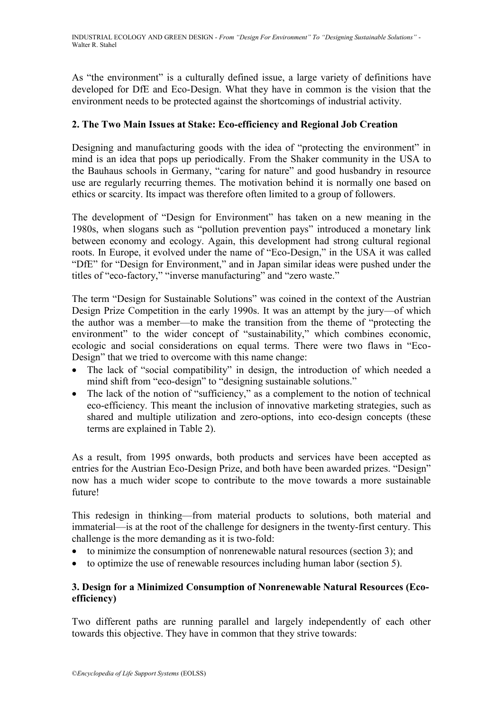As "the environment" is a culturally defined issue, a large variety of definitions have developed for DfE and Eco-Design. What they have in common is the vision that the environment needs to be protected against the shortcomings of industrial activity.

### **2. The Two Main Issues at Stake: Eco-efficiency and Regional Job Creation**

Designing and manufacturing goods with the idea of "protecting the environment" in mind is an idea that pops up periodically. From the Shaker community in the USA to the Bauhaus schools in Germany, "caring for nature" and good husbandry in resource use are regularly recurring themes. The motivation behind it is normally one based on ethics or scarcity. Its impact was therefore often limited to a group of followers.

The development of "Design for Environment" has taken on a new meaning in the 1980s, when slogans such as "pollution prevention pays" introduced a monetary link between economy and ecology. Again, this development had strong cultural regional roots. In Europe, it evolved under the name of "Eco-Design," in the USA it was called "DfE" for "Design for Environment," and in Japan similar ideas were pushed under the titles of "eco-factory," "inverse manufacturing" and "zero waste."

The term "Design for Sustainable Solutions" was coined in the context of the Austrian Design Prize Competition in the early 1990s. It was an attempt by the jury—of which the author was a member—to make the transition from the theme of "protecting the environment" to the wider concept of "sustainability," which combines economic, ecologic and social considerations on equal terms. There were two flaws in "Eco-Design" that we tried to overcome with this name change:

- The lack of "social compatibility" in design, the introduction of which needed a mind shift from "eco-design" to "designing sustainable solutions."
- $\bullet$  The lack of the notion of "sufficiency," as a complement to the notion of technical eco-efficiency. This meant the inclusion of innovative marketing strategies, such as shared and multiple utilization and zero-options, into eco-design concepts (these terms are explained in Table 2).

As a result, from 1995 onwards, both products and services have been accepted as entries for the Austrian Eco-Design Prize, and both have been awarded prizes. "Design" now has a much wider scope to contribute to the move towards a more sustainable future!

This redesign in thinking—from material products to solutions, both material and immaterial—is at the root of the challenge for designers in the twenty-first century. This challenge is the more demanding as it is two-fold:

- to minimize the consumption of nonrenewable natural resources (section 3); and
- to optimize the use of renewable resources including human labor (section 5).

## **3. Design for a Minimized Consumption of Nonrenewable Natural Resources (Ecoefficiency)**

Two different paths are running parallel and largely independently of each other towards this objective. They have in common that they strive towards: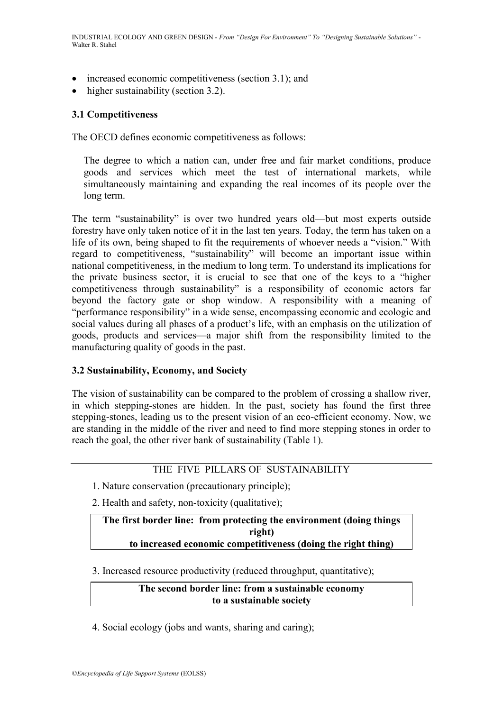- increased economic competitiveness (section 3.1); and
- higher sustainability (section 3.2).

#### **3.1 Competitiveness**

The OECD defines economic competitiveness as follows:

The degree to which a nation can, under free and fair market conditions, produce goods and services which meet the test of international markets, while simultaneously maintaining and expanding the real incomes of its people over the long term.

The term "sustainability" is over two hundred years old—but most experts outside forestry have only taken notice of it in the last ten years. Today, the term has taken on a life of its own, being shaped to fit the requirements of whoever needs a "vision." With regard to competitiveness, "sustainability" will become an important issue within national competitiveness, in the medium to long term. To understand its implications for the private business sector, it is crucial to see that one of the keys to a "higher" competitiveness through sustainability" is a responsibility of economic actors far beyond the factory gate or shop window. A responsibility with a meaning of "performance responsibility" in a wide sense, encompassing economic and ecologic and social values during all phases of a product's life, with an emphasis on the utilization of goods, products and services—a major shift from the responsibility limited to the manufacturing quality of goods in the past.

#### **3.2 Sustainability, Economy, and Society**

The vision of sustainability can be compared to the problem of crossing a shallow river, in which stepping-stones are hidden. In the past, society has found the first three stepping-stones, leading us to the present vision of an eco-efficient economy. Now, we are standing in the middle of the river and need to find more stepping stones in order to reach the goal, the other river bank of sustainability (Table 1).

### THE FIVE PILLARS OF SUSTAINABILITY

- 1. Nature conservation (precautionary principle);
- 2. Health and safety, non-toxicity (qualitative);

#### **The first border line: from protecting the environment (doing things right) to increased economic competitiveness (doing the right thing)**

3. Increased resource productivity (reduced throughput, quantitative);

#### **The second border line: from a sustainable economy to a sustainable society**

4. Social ecology (jobs and wants, sharing and caring);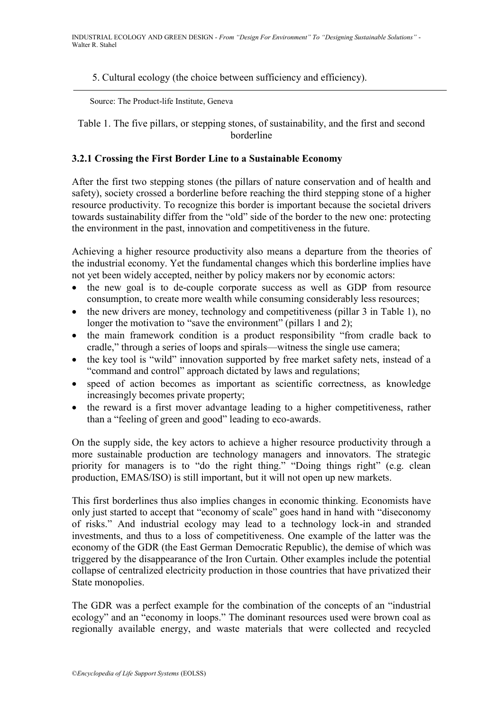#### 5. Cultural ecology (the choice between sufficiency and efficiency).

Source: The Product-life Institute, Geneva

Table 1. The five pillars, or stepping stones, of sustainability, and the first and second borderline

#### **3.2.1 Crossing the First Border Line to a Sustainable Economy**

After the first two stepping stones (the pillars of nature conservation and of health and safety), society crossed a borderline before reaching the third stepping stone of a higher resource productivity. To recognize this border is important because the societal drivers towards sustainability differ from the "old" side of the border to the new one: protecting the environment in the past, innovation and competitiveness in the future.

Achieving a higher resource productivity also means a departure from the theories of the industrial economy. Yet the fundamental changes which this borderline implies have not yet been widely accepted, neither by policy makers nor by economic actors:

- the new goal is to de-couple corporate success as well as GDP from resource consumption, to create more wealth while consuming considerably less resources;
- $\bullet$  the new drivers are money, technology and competitiveness (pillar 3 in Table 1), no longer the motivation to "save the environment" (pillars 1 and 2);
- the main framework condition is a product responsibility "from cradle back to cradle," through a series of loops and spirals—witness the single use camera;
- the key tool is "wild" innovation supported by free market safety nets, instead of a "command and control" approach dictated by laws and regulations;
- speed of action becomes as important as scientific correctness, as knowledge increasingly becomes private property;
- the reward is a first mover advantage leading to a higher competitiveness, rather than a "feeling of green and good" leading to eco-awards.

On the supply side, the key actors to achieve a higher resource productivity through a more sustainable production are technology managers and innovators. The strategic priority for managers is to "do the right thing." "Doing things right" (e.g. clean production, EMAS/ISO) is still important, but it will not open up new markets.

This first borderlines thus also implies changes in economic thinking. Economists have only just started to accept that "economy of scale" goes hand in hand with "diseconomy of risks.‖ And industrial ecology may lead to a technology lock-in and stranded investments, and thus to a loss of competitiveness. One example of the latter was the economy of the GDR (the East German Democratic Republic), the demise of which was triggered by the disappearance of the Iron Curtain. Other examples include the potential collapse of centralized electricity production in those countries that have privatized their State monopolies.

The GDR was a perfect example for the combination of the concepts of an "industrial" ecology" and an "economy in loops." The dominant resources used were brown coal as regionally available energy, and waste materials that were collected and recycled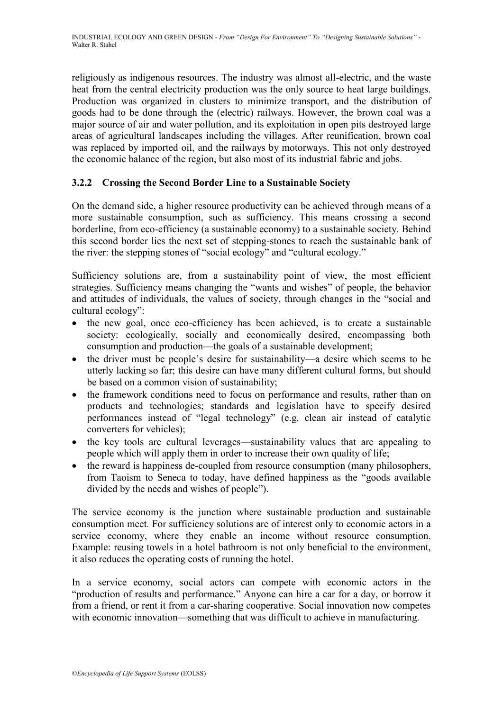religiously as indigenous resources. The industry was almost all-electric, and the waste heat from the central electricity production was the only source to heat large buildings. Production was organized in clusters to minimize transport, and the distribution of goods had to be done through the (electric) railways. However, the brown coal was a major source of air and water pollution, and its exploitation in open pits destroyed large areas of agricultural landscapes including the villages. After reunification, brown coal was replaced by imported oil, and the railways by motorways. This not only destroyed the economic balance of the region, but also most of its industrial fabric and jobs.

## **3.2.2 Crossing the Second Border Line to a Sustainable Society**

On the demand side, a higher resource productivity can be achieved through means of a more sustainable consumption, such as sufficiency. This means crossing a second borderline, from eco-efficiency (a sustainable economy) to a sustainable society. Behind this second border lies the next set of stepping-stones to reach the sustainable bank of the river: the stepping stones of "social ecology" and "cultural ecology."

Sufficiency solutions are, from a sustainability point of view, the most efficient strategies. Sufficiency means changing the "wants and wishes" of people, the behavior and attitudes of individuals, the values of society, through changes in the "social and cultural ecology":

- the new goal, once eco-efficiency has been achieved, is to create a sustainable society: ecologically, socially and economically desired, encompassing both consumption and production—the goals of a sustainable development;
- the driver must be people's desire for sustainability—a desire which seems to be utterly lacking so far; this desire can have many different cultural forms, but should be based on a common vision of sustainability;
- the framework conditions need to focus on performance and results, rather than on products and technologies; standards and legislation have to specify desired performances instead of "legal technology" (e.g. clean air instead of catalytic converters for vehicles);
- the key tools are cultural leverages—sustainability values that are appealing to people which will apply them in order to increase their own quality of life;
- the reward is happiness de-coupled from resource consumption (many philosophers, from Taoism to Seneca to today, have defined happiness as the "goods available divided by the needs and wishes of people").

The service economy is the junction where sustainable production and sustainable consumption meet. For sufficiency solutions are of interest only to economic actors in a service economy, where they enable an income without resource consumption. Example: reusing towels in a hotel bathroom is not only beneficial to the environment, it also reduces the operating costs of running the hotel.

In a service economy, social actors can compete with economic actors in the "production of results and performance." Anyone can hire a car for a day, or borrow it from a friend, or rent it from a car-sharing cooperative. Social innovation now competes with economic innovation—something that was difficult to achieve in manufacturing.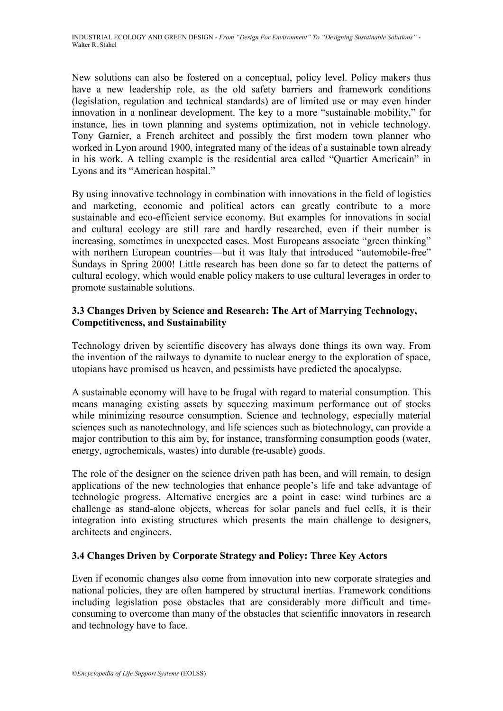New solutions can also be fostered on a conceptual, policy level. Policy makers thus have a new leadership role, as the old safety barriers and framework conditions (legislation, regulation and technical standards) are of limited use or may even hinder innovation in a nonlinear development. The key to a more "sustainable mobility," for instance, lies in town planning and systems optimization, not in vehicle technology. Tony Garnier, a French architect and possibly the first modern town planner who worked in Lyon around 1900, integrated many of the ideas of a sustainable town already in his work. A telling example is the residential area called "Quartier Americain" in Lyons and its "American hospital."

By using innovative technology in combination with innovations in the field of logistics and marketing, economic and political actors can greatly contribute to a more sustainable and eco-efficient service economy. But examples for innovations in social and cultural ecology are still rare and hardly researched, even if their number is increasing, sometimes in unexpected cases. Most Europeans associate "green thinking" with northern European countries—but it was Italy that introduced "automobile-free" Sundays in Spring 2000! Little research has been done so far to detect the patterns of cultural ecology, which would enable policy makers to use cultural leverages in order to promote sustainable solutions.

### **3.3 Changes Driven by Science and Research: The Art of Marrying Technology, Competitiveness, and Sustainability**

Technology driven by scientific discovery has always done things its own way. From the invention of the railways to dynamite to nuclear energy to the exploration of space, utopians have promised us heaven, and pessimists have predicted the apocalypse.

A sustainable economy will have to be frugal with regard to material consumption. This means managing existing assets by squeezing maximum performance out of stocks while minimizing resource consumption. Science and technology, especially material sciences such as nanotechnology, and life sciences such as biotechnology, can provide a major contribution to this aim by, for instance, transforming consumption goods (water, energy, agrochemicals, wastes) into durable (re-usable) goods.

The role of the designer on the science driven path has been, and will remain, to design applications of the new technologies that enhance people's life and take advantage of technologic progress. Alternative energies are a point in case: wind turbines are a challenge as stand-alone objects, whereas for solar panels and fuel cells, it is their integration into existing structures which presents the main challenge to designers, architects and engineers.

## **3.4 Changes Driven by Corporate Strategy and Policy: Three Key Actors**

Even if economic changes also come from innovation into new corporate strategies and national policies, they are often hampered by structural inertias. Framework conditions including legislation pose obstacles that are considerably more difficult and timeconsuming to overcome than many of the obstacles that scientific innovators in research and technology have to face.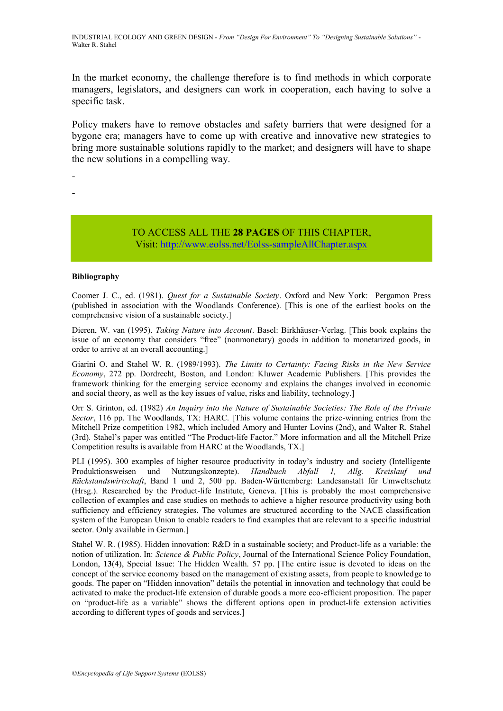In the market economy, the challenge therefore is to find methods in which corporate managers, legislators, and designers can work in cooperation, each having to solve a specific task.

Policy makers have to remove obstacles and safety barriers that were designed for a bygone era; managers have to come up with creative and innovative new strategies to bring more sustainable solutions rapidly to the market; and designers will have to shape the new solutions in a compelling way.

- -

#### TO ACCESS ALL THE **28 PAGES** OF THIS CHAPTER, Vis[it:](https://www.eolss.net/ebooklib/sc_cart.aspx?File=E1-27-07) <http://www.eolss.net/Eolss-sampleAllChapter.aspx>

#### **Bibliography**

Coomer J. C., ed. (1981). *Quest for a Sustainable Society*. Oxford and New York: Pergamon Press (published in association with the Woodlands Conference). [This is one of the earliest books on the comprehensive vision of a sustainable society.]

Dieren, W. van (1995). *Taking Nature into Account*. Basel: Birkhäuser-Verlag. [This book explains the issue of an economy that considers "free" (nonmonetary) goods in addition to monetarized goods, in order to arrive at an overall accounting.]

Giarini O. and Stahel W. R. (1989/1993). *The Limits to Certainty: Facing Risks in the New Service Economy*, 272 pp. Dordrecht, Boston, and London: Kluwer Academic Publishers. [This provides the framework thinking for the emerging service economy and explains the changes involved in economic and social theory, as well as the key issues of value, risks and liability, technology.]

Orr S. Grinton, ed. (1982) *An Inquiry into the Nature of Sustainable Societies: The Role of the Private Sector*, 116 pp. The Woodlands, TX: HARC. [This volume contains the prize-winning entries from the Mitchell Prize competition 1982, which included Amory and Hunter Lovins (2nd), and Walter R. Stahel (3rd). Stahel's paper was entitled "The Product-life Factor." More information and all the Mitchell Prize Competition results is available from HARC at the Woodlands, TX.]

PLI (1995). 300 examples of higher resource productivity in today's industry and society (Intelligente Produktionsweisen und Nutzungskonzepte). *Handbuch Abfall 1, Allg. Kreislauf und Rückstandswirtschaft*, Band 1 und 2, 500 pp. Baden-Württemberg: Landesanstalt für Umweltschutz (Hrsg.). Researched by the Product-life Institute, Geneva. [This is probably the most comprehensive collection of examples and case studies on methods to achieve a higher resource productivity using both sufficiency and efficiency strategies. The volumes are structured according to the NACE classification system of the European Union to enable readers to find examples that are relevant to a specific industrial sector. Only available in German.]

Stahel W. R. (1985). Hidden innovation: R&D in a sustainable society; and Product-life as a variable: the notion of utilization. In: *Science & Public Policy*, Journal of the International Science Policy Foundation, London, **13**(4), Special Issue: The Hidden Wealth. 57 pp. [The entire issue is devoted to ideas on the concept of the service economy based on the management of existing assets, from people to knowledge to goods. The paper on "Hidden innovation" details the potential in innovation and technology that could be activated to make the product-life extension of durable goods a more eco-efficient proposition. The paper on "product-life as a variable" shows the different options open in product-life extension activities according to different types of goods and services.]